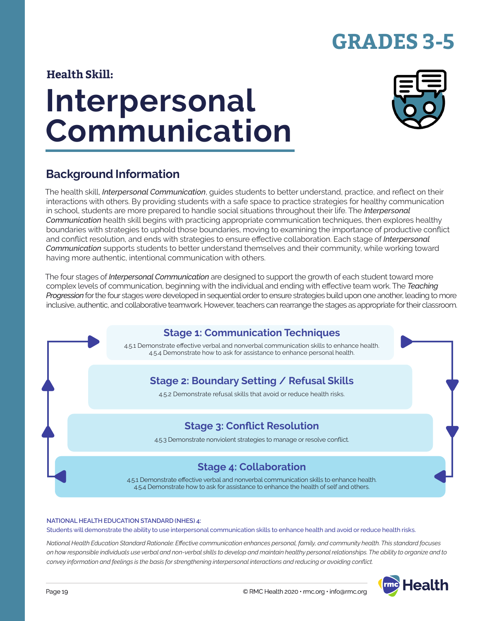## **GRADES 3-5**

### **Health Skill:**

# **Interpersonal Communication**



### **Background Information**

The health skill, *Interpersonal Communication*, guides students to better understand, practice, and reflect on their interactions with others. By providing students with a safe space to practice strategies for healthy communication in school, students are more prepared to handle social situations throughout their life. The *Interpersonal Communication* health skill begins with practicing appropriate communication techniques, then explores healthy boundaries with strategies to uphold those boundaries, moving to examining the importance of productive conflict and conflict resolution, and ends with strategies to ensure effective collaboration. Each stage of *Interpersonal Communication* supports students to better understand themselves and their community, while working toward having more authentic, intentional communication with others.

The four stages of *Interpersonal Communication* are designed to support the growth of each student toward more complex levels of communication, beginning with the individual and ending with effective team work. The *Teaching Progression* for the four stages were developed in sequential order to ensure strategies build upon one another, leading to more inclusive, authentic, and collaborative teamwork. However, teachers can rearrange the stages as appropriate for their classroom.



#### **NATIONAL HEALTH EDUCATION STANDARD (NHES) 4:**

Students will demonstrate the ability to use interpersonal communication skills to enhance health and avoid or reduce health risks.

*National Health Education Standard Rationale: Effective communication enhances personal, family, and community health. This standard focuses on how responsible individuals use verbal and non-verbal skills to develop and maintain healthy personal relationships. The ability to organize and to convey information and feelings is the basis for strengthening interpersonal interactions and reducing or avoiding conflict.*

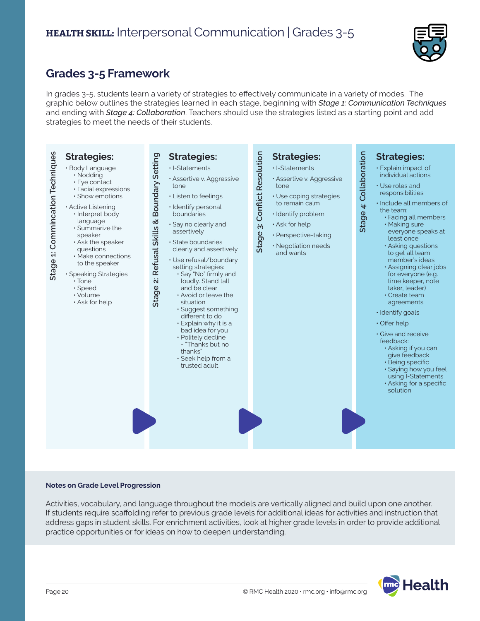

### **Grades 3-5 Framework**

In grades 3-5, students learn a variety of strategies to effectively communicate in a variety of modes. The graphic below outlines the strategies learned in each stage, beginning with *Stage 1: Communication Techniques* and ending with *Stage 4: Collaboration*. Teachers should use the strategies listed as a starting point and add strategies to meet the needs of their students.



#### **Notes on Grade Level Progression**

Activities, vocabulary, and language throughout the models are vertically aligned and build upon one another. If students require scaffolding refer to previous grade levels for additional ideas for activities and instruction that address gaps in student skills. For enrichment activities, look at higher grade levels in order to provide additional practice opportunities or for ideas on how to deepen understanding.

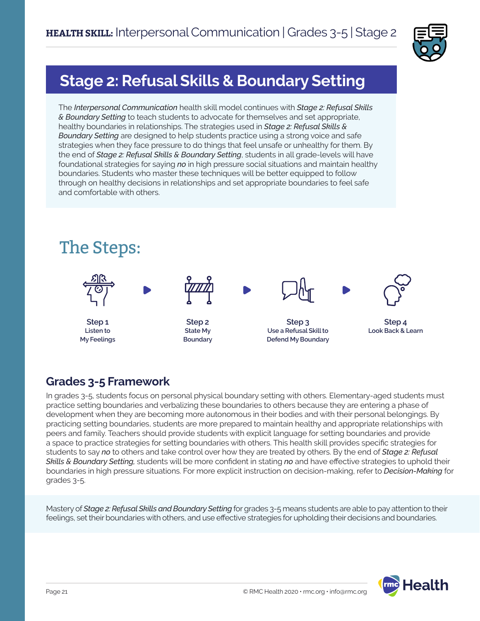

### **Stage 2: Refusal Skills & Boundary Setting**

The *Interpersonal Communication* health skill model continues with *Stage 2: Refusal Skills & Boundary Setting* to teach students to advocate for themselves and set appropriate, healthy boundaries in relationships. The strategies used in *Stage 2: Refusal Skills & Boundary Setting* are designed to help students practice using a strong voice and safe strategies when they face pressure to do things that feel unsafe or unhealthy for them. By the end of *Stage 2: Refusal Skills & Boundary Setting*, students in all grade-levels will have foundational strategies for saying *no* in high pressure social situations and maintain healthy boundaries. Students who master these techniques will be better equipped to follow through on healthy decisions in relationships and set appropriate boundaries to feel safe and comfortable with others.



### **Grades 3-5 Framework**

In grades 3-5, students focus on personal physical boundary setting with others. Elementary-aged students must practice setting boundaries and verbalizing these boundaries to others because they are entering a phase of development when they are becoming more autonomous in their bodies and with their personal belongings. By practicing setting boundaries, students are more prepared to maintain healthy and appropriate relationships with peers and family. Teachers should provide students with explicit language for setting boundaries and provide a space to practice strategies for setting boundaries with others. This health skill provides specific strategies for students to say *no* to others and take control over how they are treated by others. By the end of *Stage 2: Refusal Skills & Boundary Setting,* students will be more confident in stating *no* and have effective strategies to uphold their boundaries in high pressure situations. For more explicit instruction on decision-making, refer to *Decision-Making* for grades 3-5.

Mastery of *Stage 2: Refusal Skills and Boundary Setting* for grades 3-5 means students are able to pay attention to their feelings, set their boundaries with others, and use effective strategies for upholding their decisions and boundaries.

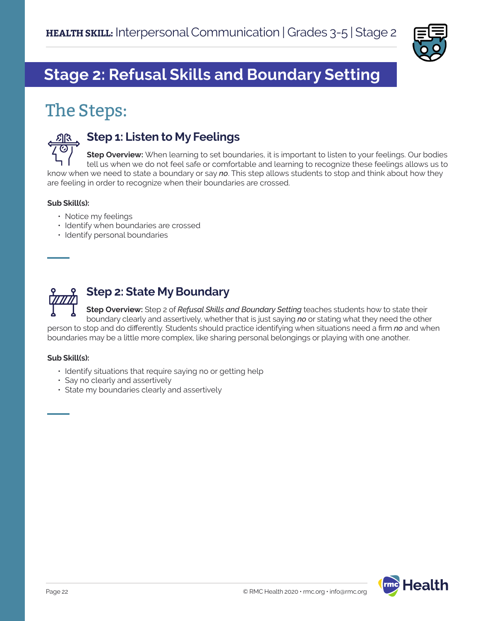

### **Stage 2: Refusal Skills and Boundary Setting**

### The Steps:



### **Step 1: Listen to My Feelings**

**Step Overview:** When learning to set boundaries, it is important to listen to your feelings. Our bodies tell us when we do not feel safe or comfortable and learning to recognize these feelings allows us to know when we need to state a boundary or say *no*. This step allows students to stop and think about how they are feeling in order to recognize when their boundaries are crossed.

#### **Sub Skill(s):**

- Notice my feelings
- Identify when boundaries are crossed
- Identify personal boundaries



**Step Overview:** Step 2 of *Refusal Skills and Boundary Setting* teaches students how to state their boundary clearly and assertively, whether that is just saying *no* or stating what they need the other person to stop and do differently. Students should practice identifying when situations need a firm *no* and when boundaries may be a little more complex, like sharing personal belongings or playing with one another.

#### **Sub Skill(s):**

- Identify situations that require saying no or getting help
- Say no clearly and assertively
- State my boundaries clearly and assertively

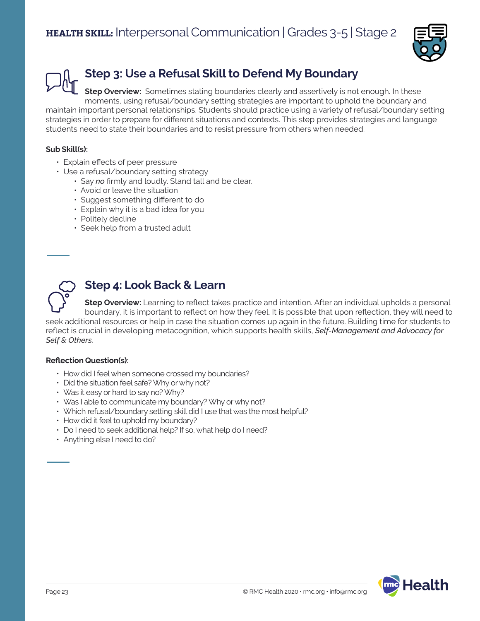

### **Step 3: Use a Refusal Skill to Defend My Boundary**

**Step Overview:** Sometimes stating boundaries clearly and assertively is not enough. In these moments, using refusal/boundary setting strategies are important to uphold the boundary and maintain important personal relationships. Students should practice using a variety of refusal/boundary setting strategies in order to prepare for different situations and contexts. This step provides strategies and language students need to state their boundaries and to resist pressure from others when needed.

### **Sub Skill(s):**

- Explain effects of peer pressure
- Use a refusal/boundary setting strategy
	- Say *no* firmly and loudly. Stand tall and be clear.
	- Avoid or leave the situation
	- Suggest something different to do
	- Explain why it is a bad idea for you
	- Politely decline
	- Seek help from a trusted adult

### **Step 4: Look Back & Learn**

**Step Overview:** Learning to reflect takes practice and intention. After an individual upholds a personal boundary, it is important to reflect on how they feel. It is possible that upon reflection, they will need to seek additional resources or help in case the situation comes up again in the future. Building time for students to reflect is crucial in developing metacognition, which supports health skills, *Self-Management and Advocacy for Self & Others.*

#### **Reflection Question(s):**

- How did I feel when someone crossed my boundaries?
- Did the situation feel safe? Why or why not?
- Was it easy or hard to say no? Why?
- Was I able to communicate my boundary? Why or why not?
- Which refusal/boundary setting skill did I use that was the most helpful?
- How did it feel to uphold my boundary?
- Do I need to seek additional help? If so, what help do I need?
- Anything else I need to do?